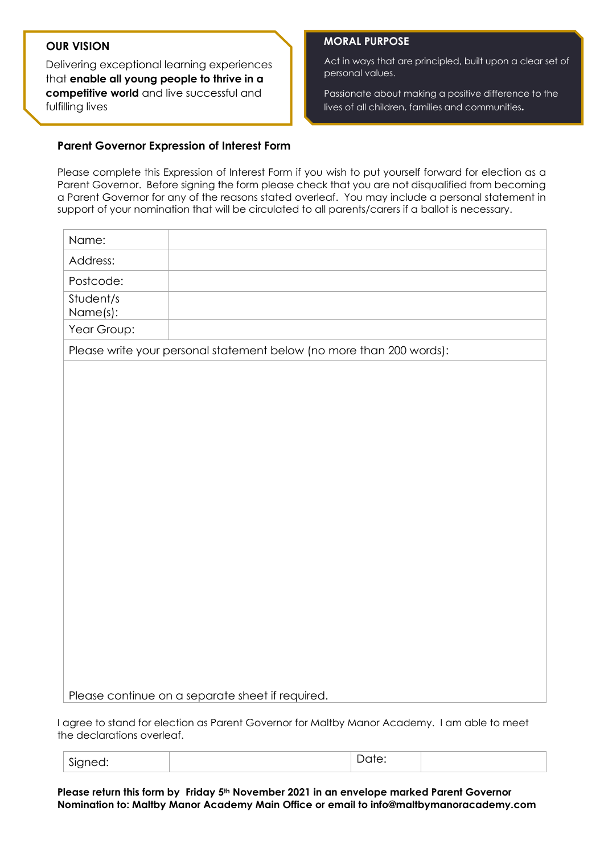Delivering exceptional learning experiences that **enable all young people to thrive in a competitive world** and live successful and fulfilling lives

## **OUR VISION MORAL PURPOSE**

Act in ways that are principled, built upon a clear set of personal values.

Passionate about making a positive difference to the lives of all children, families and communities*.*

## **Parent Governor Expression of Interest Form**

Please complete this Expression of Interest Form if you wish to put yourself forward for election as a Parent Governor. Before signing the form please check that you are not disqualified from becoming a Parent Governor for any of the reasons stated overleaf. You may include a personal statement in support of your nomination that will be circulated to all parents/carers if a ballot is necessary.

| Name:                 |                                                                      |
|-----------------------|----------------------------------------------------------------------|
| Address:              |                                                                      |
| Postcode:             |                                                                      |
| Student/s<br>Name(s): |                                                                      |
| Year Group:           |                                                                      |
|                       | Please write your personal statement below (no more than 200 words): |
|                       |                                                                      |
|                       | Please continue on a separate sheet if required.                     |

I agree to stand for election as Parent Governor for Maltby Manor Academy. I am able to meet the declarations overleaf.

| والمستورين<br>$\sum_{i=1}^{n}$<br>. .<br>$\tilde{\phantom{a}}$ |
|----------------------------------------------------------------|
|----------------------------------------------------------------|

**Please return this form by Friday 5th November 2021 in an envelope marked Parent Governor Nomination to: Maltby Manor Academy Main Office or email to info@maltbymanoracademy.com**